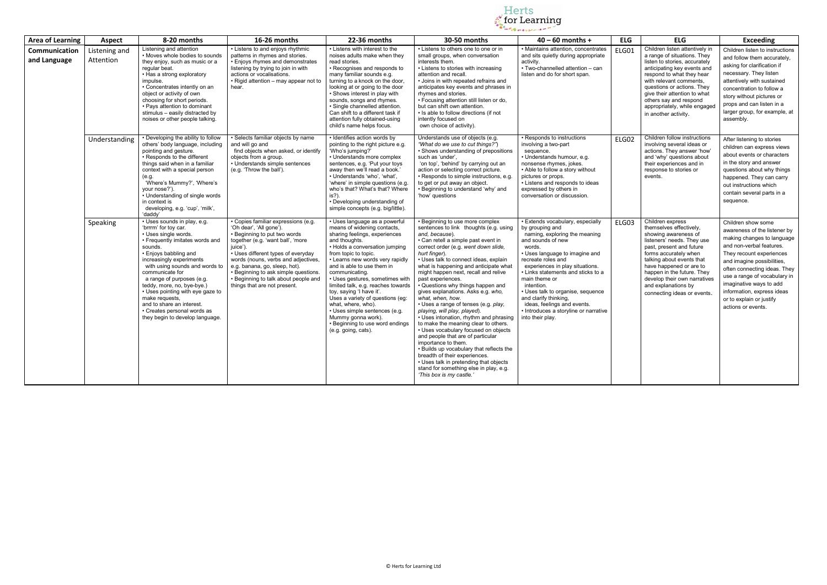

| <b>Area of Learning</b>       | <b>Aspect</b>              | 8-20 months                                                                                                                                                                                                                                                                                                                                                                                                                                         | 16-26 months                                                                                                                                                                                                                                                                                                                                                                  | 22-36 months                                                                                                                                                                                                                                                                                                                                                                                                                                                                                                                                | 30-50 months                                                                                                                                                                                                                                                                                                                                                                                                                                                                                                                                                                                                                                                                                                                                                                                                                                                                                              | $40 - 60$ months +                                                                                                                                                                                                                                                                                                                                                                                                                          | <b>ELG</b> | <b>ELG</b>                                                                                                                                                                                                                                                                                                                            | <b>Exceeding</b>                                                                                                                                                                                                                                                                                                                                  |
|-------------------------------|----------------------------|-----------------------------------------------------------------------------------------------------------------------------------------------------------------------------------------------------------------------------------------------------------------------------------------------------------------------------------------------------------------------------------------------------------------------------------------------------|-------------------------------------------------------------------------------------------------------------------------------------------------------------------------------------------------------------------------------------------------------------------------------------------------------------------------------------------------------------------------------|---------------------------------------------------------------------------------------------------------------------------------------------------------------------------------------------------------------------------------------------------------------------------------------------------------------------------------------------------------------------------------------------------------------------------------------------------------------------------------------------------------------------------------------------|-----------------------------------------------------------------------------------------------------------------------------------------------------------------------------------------------------------------------------------------------------------------------------------------------------------------------------------------------------------------------------------------------------------------------------------------------------------------------------------------------------------------------------------------------------------------------------------------------------------------------------------------------------------------------------------------------------------------------------------------------------------------------------------------------------------------------------------------------------------------------------------------------------------|---------------------------------------------------------------------------------------------------------------------------------------------------------------------------------------------------------------------------------------------------------------------------------------------------------------------------------------------------------------------------------------------------------------------------------------------|------------|---------------------------------------------------------------------------------------------------------------------------------------------------------------------------------------------------------------------------------------------------------------------------------------------------------------------------------------|---------------------------------------------------------------------------------------------------------------------------------------------------------------------------------------------------------------------------------------------------------------------------------------------------------------------------------------------------|
| Communication<br>and Language | Listening and<br>Attention | Listening and attention<br>• Moves whole bodies to sounds<br>they enjoy, such as music or a<br>regular beat.<br>• Has a strong exploratory<br>impulse.<br>• Concentrates intently on an<br>object or activity of own<br>choosing for short periods.<br>• Pays attention to dominant<br>stimulus - easily distracted by<br>noises or other people talking.                                                                                           | • Listens to and enjoys rhythmic<br>patterns in rhymes and stories.<br>• Enjoys rhymes and demonstrates<br>listening by trying to join in with<br>actions or vocalisations.<br>• Rigid attention – may appear not to<br>hear.                                                                                                                                                 | • Listens with interest to the<br>noises adults make when they<br>read stories.<br>• Recognises and responds to<br>many familiar sounds e.g.<br>turning to a knock on the door,<br>looking at or going to the door<br>• Shows interest in play with<br>sounds, songs and rhymes.<br>· Single channelled attention.<br>Can shift to a different task if<br>attention fully obtained-using<br>child's name helps focus.                                                                                                                       | Listens to others one to one or in<br>small groups, when conversation<br>interests them.<br>• Listens to stories with increasing<br>attention and recall.<br>• Joins in with repeated refrains and<br>anticipates key events and phrases in<br>rhymes and stories.<br>• Focusing attention still listen or do,<br>but can shift own attention.<br>• Is able to follow directions (if not<br>intently focused on<br>own choice of activity).                                                                                                                                                                                                                                                                                                                                                                                                                                                               | • Maintains attention, concentrates<br>and sits quietly during appropriate<br>activity.<br>• Two-channelled attention - can<br>listen and do for short span.                                                                                                                                                                                                                                                                                | ELG01      | Children listen attentively in<br>a range of situations. They<br>listen to stories, accurately<br>anticipating key events and<br>respond to what they hear<br>with relevant comments.<br>questions or actions. They<br>give their attention to what<br>others say and respond<br>appropriately, while engaged<br>in another activity. | Children listen to instructions<br>and follow them accurately,<br>asking for clarification if<br>necessary. They listen<br>attentively with sustained<br>concentration to follow a<br>story without pictures or<br>props and can listen in a<br>larger group, for example, at<br>assembly.                                                        |
|                               | Understanding              | • Developing the ability to follow<br>others' body language, including<br>pointing and gesture.<br>• Responds to the different<br>things said when in a familiar<br>context with a special person<br>(e.q.<br>'Where's Mummy?', 'Where's<br>your nose?').<br>• Understanding of single words<br>in context is<br>developing, e.g. 'cup', 'milk',<br>'daddv'                                                                                         | • Selects familiar objects by name<br>and will go and<br>find objects when asked, or identify<br>objects from a group.<br>• Understands simple sentences<br>(e.g. 'Throw the ball').                                                                                                                                                                                          | • Identifies action words by<br>pointing to the right picture e.g.<br>'Who's jumping?'<br>• Understands more complex<br>sentences, e.g. 'Put your toys<br>away then we'll read a book.'<br>• Understands 'who'. 'what'.<br>'where' in simple questions (e.g.<br>who's that? What's that? Where<br>is?).<br>• Developing understanding of<br>simple concepts (e.g. big/little).                                                                                                                                                              | Understands use of objects (e.g.<br>"What do we use to cut things?")<br>Shows understanding of prepositions<br>such as 'under'.<br>'on top', 'behind' by carrying out an<br>action or selecting correct picture.<br>· Responds to simple instructions, e.g.<br>to get or put away an object.<br>Beginning to understand 'why' and<br>'how' questions                                                                                                                                                                                                                                                                                                                                                                                                                                                                                                                                                      | • Responds to instructions<br>involving a two-part<br>sequence.<br>• Understands humour, e.g.<br>nonsense rhymes, jokes.<br>• Able to follow a story without<br>pictures or props.<br>• Listens and responds to ideas<br>expressed by others in<br>conversation or discussion.                                                                                                                                                              | ELG02      | Children follow instructions<br>involving several ideas or<br>actions. They answer 'how'<br>and 'why' questions about<br>their experiences and in<br>response to stories or<br>events.                                                                                                                                                | After listening to stories<br>children can express views<br>about events or characters<br>in the story and answer<br>questions about why things<br>happened. They can carry<br>out instructions which<br>contain several parts in a<br>sequence.                                                                                                  |
|                               | Speaking                   | • Uses sounds in play, e.g.<br>'brrrm' for toy car.<br>• Uses single words.<br>• Frequently imitates words and<br>sounds.<br>• Enjoys babbling and<br>increasingly experiments<br>with using sounds and words to<br>communicate for<br>a range of purposes (e.g.<br>teddy, more, no, bye-bye.)<br>• Uses pointing with eye gaze to<br>make requests.<br>and to share an interest.<br>• Creates personal words as<br>they begin to develop language. | • Copies familiar expressions (e.g.<br>'Oh dear', 'All gone').<br>• Beginning to put two words<br>together (e.g. 'want ball', 'more<br>juice').<br>• Uses different types of everyday<br>words (nouns, verbs and adjectives,<br>e.g. banana, go, sleep, hot).<br>• Beginning to ask simple questions.<br>• Beginning to talk about people and<br>things that are not present. | • Uses language as a powerful<br>means of widening contacts,<br>sharing feelings, experiences<br>and thoughts.<br>• Holds a conversation jumping<br>from topic to topic.<br>• Learns new words very rapidly<br>and is able to use them in<br>communicating.<br>• Uses gestures, sometimes with<br>limited talk, e.g. reaches towards<br>tov. saving 'I have it'.<br>Uses a variety of questions (eg:<br>what, where, who).<br>• Uses simple sentences (e.g.<br>Mummy gonna work).<br>• Beginning to use word endings<br>(e.g. going, cats). | <b>Beginning to use more complex</b><br>sentences to link thoughts (e.g. using<br>and, because).<br>• Can retell a simple past event in<br>correct order (e.g. went down slide,<br>hurt finger).<br>• Uses talk to connect ideas, explain<br>what is happening and anticipate what<br>might happen next, recall and relive<br>past experiences.<br>• Questions why things happen and<br>gives explanations. Asks e.g. who,<br>what, when, how.<br>• Uses a range of tenses (e.g. play,<br>playing, will play, played).<br>• Uses intonation, rhythm and phrasing<br>to make the meaning clear to others.<br>• Uses vocabulary focused on objects<br>and people that are of particular<br>importance to them.<br>. Builds up vocabulary that reflects the<br>breadth of their experiences.<br>• Uses talk in pretending that objects<br>stand for something else in play, e.g.<br>'This box is my castle.' | · Extends vocabulary, especially<br>by grouping and<br>naming, exploring the meaning<br>and sounds of new<br>words.<br>Uses language to imagine and<br>recreate roles and<br>experiences in play situations.<br>• Links statements and sticks to a<br>main theme or<br>intention.<br>• Uses talk to organise, sequence<br>and clarify thinking,<br>ideas, feelings and events.<br>• Introduces a storyline or narrative<br>into their play. | ELG03      | Children express<br>themselves effectively,<br>showing awareness of<br>listeners' needs. They use<br>past, present and future<br>forms accurately when<br>talking about events that<br>have happened or are to<br>happen in the future. They<br>develop their own narratives<br>and explanations by<br>connecting ideas or events.    | Children show some<br>awareness of the listener by<br>making changes to language<br>and non-verbal features.<br>They recount experiences<br>and imagine possibilities,<br>often connecting ideas. They<br>use a range of vocabulary in<br>imaginative ways to add<br>information, express ideas<br>or to explain or justify<br>actions or events. |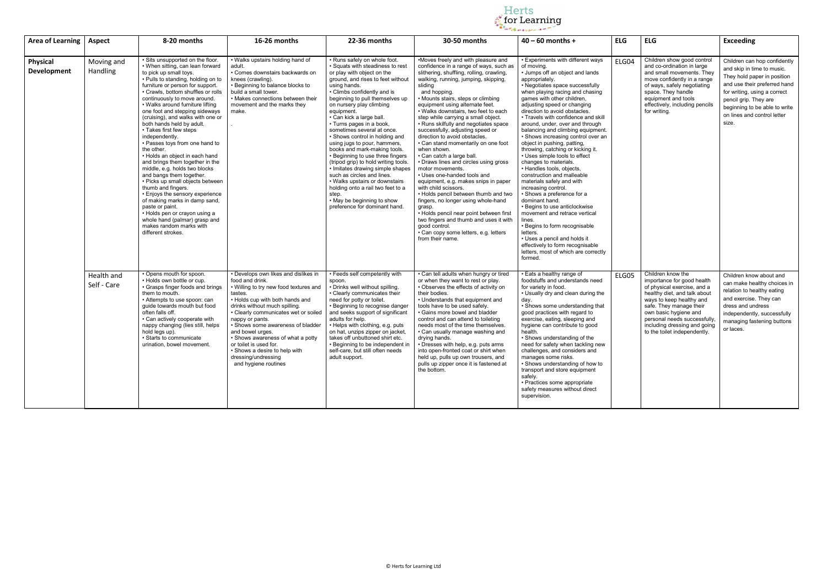

| Area of Learning   Aspect      |                           | 8-20 months                                                                                                                                                                                                                                                                                                                                                                                                                                                                                                                                                                                                                                                                                                                                                                                                                                                                               | 16-26 months                                                                                                                                                                                                                                                                                                                                                                                                                                        | 22-36 months                                                                                                                                                                                                                                                                                                                                                                                                                                                                                                                                                                                                                                                                                                                                         | 30-50 months                                                                                                                                                                                                                                                                                                                                                                                                                                                                                                                                                                                                                                                                                                                                                                                                                                                                                                                                                                  | $40 - 60$ months +                                                                                                                                                                                                                                                                                                                                                                                                                                                                                                                                                                                                                                                                                                                                                                                                                                                                                                                                                         | <b>ELG</b> | <b>ELG</b>                                                                                                                                                                                                                                                                                     | Exceeding                                                                                                                                                                                                                                                   |
|--------------------------------|---------------------------|-------------------------------------------------------------------------------------------------------------------------------------------------------------------------------------------------------------------------------------------------------------------------------------------------------------------------------------------------------------------------------------------------------------------------------------------------------------------------------------------------------------------------------------------------------------------------------------------------------------------------------------------------------------------------------------------------------------------------------------------------------------------------------------------------------------------------------------------------------------------------------------------|-----------------------------------------------------------------------------------------------------------------------------------------------------------------------------------------------------------------------------------------------------------------------------------------------------------------------------------------------------------------------------------------------------------------------------------------------------|------------------------------------------------------------------------------------------------------------------------------------------------------------------------------------------------------------------------------------------------------------------------------------------------------------------------------------------------------------------------------------------------------------------------------------------------------------------------------------------------------------------------------------------------------------------------------------------------------------------------------------------------------------------------------------------------------------------------------------------------------|-------------------------------------------------------------------------------------------------------------------------------------------------------------------------------------------------------------------------------------------------------------------------------------------------------------------------------------------------------------------------------------------------------------------------------------------------------------------------------------------------------------------------------------------------------------------------------------------------------------------------------------------------------------------------------------------------------------------------------------------------------------------------------------------------------------------------------------------------------------------------------------------------------------------------------------------------------------------------------|----------------------------------------------------------------------------------------------------------------------------------------------------------------------------------------------------------------------------------------------------------------------------------------------------------------------------------------------------------------------------------------------------------------------------------------------------------------------------------------------------------------------------------------------------------------------------------------------------------------------------------------------------------------------------------------------------------------------------------------------------------------------------------------------------------------------------------------------------------------------------------------------------------------------------------------------------------------------------|------------|------------------------------------------------------------------------------------------------------------------------------------------------------------------------------------------------------------------------------------------------------------------------------------------------|-------------------------------------------------------------------------------------------------------------------------------------------------------------------------------------------------------------------------------------------------------------|
| <b>Physical</b><br>Development | Moving and<br>Handling    | • Sits unsupported on the floor.<br>• When sitting, can lean forward<br>to pick up small toys.<br>• Pulls to standing, holding on to<br>furniture or person for support.<br>• Crawls, bottom shuffles or rolls<br>continuously to move around.<br>• Walks around furniture lifting<br>one foot and stepping sideways<br>(cruising), and walks with one or<br>both hands held by adult.<br>• Takes first few steps<br>independently.<br>• Passes toys from one hand to<br>the other.<br>• Holds an object in each hand<br>and brings them together in the<br>middle, e.g. holds two blocks<br>and bangs them together.<br>• Picks up small objects between<br>thumb and fingers.<br>• Enjoys the sensory experience<br>of making marks in damp sand.<br>paste or paint.<br>• Holds pen or crayon using a<br>whole hand (palmar) grasp and<br>makes random marks with<br>different strokes. | • Walks upstairs holding hand of<br>adult.<br>• Comes downstairs backwards on<br>knees (crawling).<br>• Beginning to balance blocks to<br>build a small tower.<br>• Makes connections between their<br>movement and the marks they<br>make.                                                                                                                                                                                                         | • Runs safely on whole foot.<br>• Squats with steadiness to rest<br>or play with object on the<br>ground, and rises to feet without<br>using hands.<br>• Climbs confidently and is<br>beginning to pull themselves up<br>on nursery play climbing<br>equipment.<br>· Can kick a large ball.<br>• Turns pages in a book,<br>sometimes several at once.<br>• Shows control in holding and<br>using jugs to pour, hammers,<br>books and mark-making tools.<br>• Beginning to use three fingers<br>(tripod grip) to hold writing tools.<br>• Imitates drawing simple shapes<br>such as circles and lines.<br>• Walks upstairs or downstairs<br>holding onto a rail two feet to a<br>step.<br>• May be beginning to show<br>preference for dominant hand. | •Moves freely and with pleasure and<br>confidence in a range of ways, such as<br>slithering, shuffling, rolling, crawling,<br>walking, running, jumping, skipping,<br>sliding<br>and hopping.<br>• Mounts stairs, steps or climbing<br>equipment using alternate feet.<br>• Walks downstairs, two feet to each<br>step while carrying a small object.<br>• Runs skilfully and negotiates space<br>successfully, adjusting speed or<br>direction to avoid obstacles.<br>• Can stand momentarily on one foot<br>when shown.<br>• Can catch a large ball<br>• Draws lines and circles using gross<br>motor movements.<br>• Uses one-handed tools and<br>equipment, e.g. makes snips in paper<br>with child scissors.<br>• Holds pencil between thumb and two<br>fingers, no longer using whole-hand<br>grasp.<br>• Holds pencil near point between first<br>two fingers and thumb and uses it with<br>good control.<br>• Can copy some letters, e.g. letters<br>from their name. | • Experiments with different ways<br>of moving.<br>• Jumps off an object and lands<br>appropriately.<br>• Negotiates space successfully<br>when playing racing and chasing<br>games with other children,<br>adjusting speed or changing<br>direction to avoid obstacles.<br>• Travels with confidence and skill<br>around, under, over and through<br>balancing and climbing equipment.<br>• Shows increasing control over an<br>object in pushing, patting,<br>throwing, catching or kicking it.<br>• Uses simple tools to effect<br>changes to materials.<br>• Handles tools, objects,<br>construction and malleable<br>materials safely and with<br>increasing control.<br>• Shows a preference for a<br>dominant hand.<br>• Begins to use anticlockwise<br>movement and retrace vertical<br>lines.<br>• Begins to form recognisable<br>letters.<br>• Uses a pencil and holds it<br>effectively to form recognisable<br>letters, most of which are correctly<br>formed. | ELG04      | Children show good control<br>and co-ordination in large<br>and small movements. They<br>move confidently in a range<br>of ways, safely negotiating<br>space. They handle<br>equipment and tools<br>effectively, including pencils<br>for writing.                                             | Children can hop confidently<br>and skip in time to music.<br>They hold paper in position<br>and use their preferred hand<br>for writing, using a correct<br>pencil grip. They are<br>beginning to be able to write<br>on lines and control letter<br>size. |
|                                | Health and<br>Self - Care | • Opens mouth for spoon.<br>• Holds own bottle or cup.<br>• Grasps finger foods and brings<br>them to mouth.<br>• Attempts to use spoon: can<br>quide towards mouth but food<br>often falls off.<br>• Can actively cooperate with<br>nappy changing (lies still, helps<br>hold legs up).<br>• Starts to communicate<br>urination, bowel movement.                                                                                                                                                                                                                                                                                                                                                                                                                                                                                                                                         | • Develops own likes and dislikes in<br>food and drink.<br>• Willing to try new food textures and<br>tastes.<br>• Holds cup with both hands and<br>drinks without much spilling.<br>• Clearly communicates wet or soiled<br>nappy or pants.<br>• Shows some awareness of bladder<br>and bowel urges.<br>• Shows awareness of what a potty<br>or toilet is used for.<br>• Shows a desire to help with<br>dressing/undressing<br>and hygiene routines | • Feeds self competently with<br>spoon.<br>• Drinks well without spilling.<br>• Clearly communicates their<br>need for potty or toilet.<br>• Beginning to recognise danger<br>and seeks support of significant<br>adults for help.<br>• Helps with clothing, e.g. puts<br>on hat, unzips zipper on jacket,<br>takes off unbuttoned shirt etc.<br>• Beginning to be independent in<br>self-care, but still often needs<br>adult support.                                                                                                                                                                                                                                                                                                              | • Can tell adults when hungry or tired<br>or when they want to rest or play.<br>• Observes the effects of activity on<br>their bodies.<br>• Understands that equipment and<br>tools have to be used safely.<br>• Gains more bowel and bladder<br>control and can attend to toileting<br>needs most of the time themselves.<br>• Can usually manage washing and<br>drying hands.<br>• Dresses with help, e.g. puts arms<br>into open-fronted coat or shirt when<br>held up, pulls up own trousers, and<br>pulls up zipper once it is fastened at<br>the bottom.                                                                                                                                                                                                                                                                                                                                                                                                                | • Eats a healthy range of<br>foodstuffs and understands need<br>for variety in food.<br>• Usually dry and clean during the<br>day.<br>• Shows some understanding that<br>good practices with regard to<br>exercise, eating, sleeping and<br>hygiene can contribute to good<br>health.<br>• Shows understanding of the<br>need for safety when tackling new<br>challenges, and considers and<br>manages some risks.<br>• Shows understanding of how to<br>transport and store equipment<br>safely.<br>• Practices some appropriate<br>safety measures without direct<br>supervision.                                                                                                                                                                                                                                                                                                                                                                                        | ELG05      | Children know the<br>importance for good health<br>of physical exercise, and a<br>healthy diet, and talk about<br>ways to keep healthy and<br>safe. They manage their<br>own basic hygiene and<br>personal needs successfully,<br>including dressing and going<br>to the toilet independently. | Children know about and<br>can make healthy choices in<br>relation to healthy eating<br>and exercise. They can<br>dress and undress<br>independently, successfully<br>managing fastening buttons<br>or laces.                                               |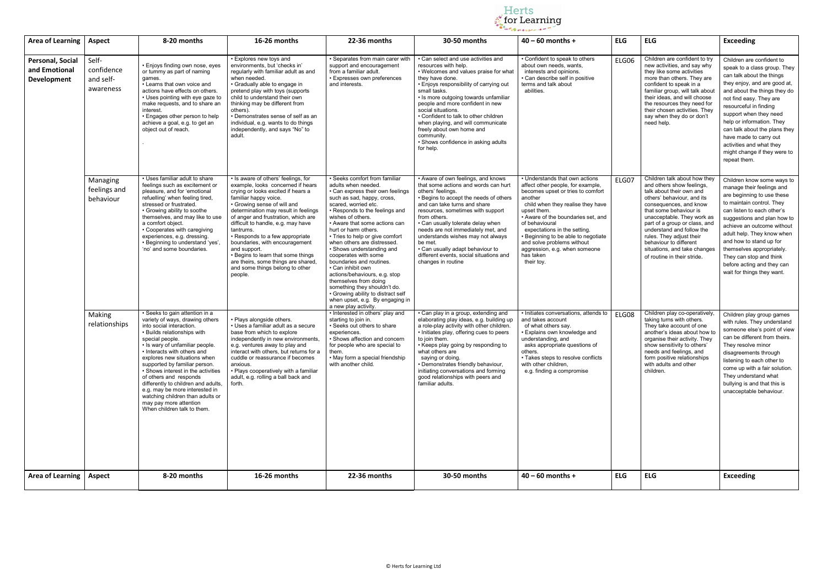

| <b>Area of Learning</b>                                 | <b>Aspect</b>                                 | 8-20 months                                                                                                                                                                                                                                                                                                                                                                                                                                                                                                              | 16-26 months                                                                                                                                                                                                                                                                                                                                                                                                                                                                                                             | 22-36 months                                                                                                                                                                                                                                                                                                                                                                                                                                                                                                                                                                                                                      | 30-50 months                                                                                                                                                                                                                                                                                                                                                                                                                                                        | $40 - 60$ months +                                                                                                                                                                                                                                                                                                                                                                               | <b>ELG</b> | <b>ELG</b>                                                                                                                                                                                                                                                                                                                                                                               | <b>Exceeding</b>                                                                                                                                                                                                                                                                                                                                                                                          |
|---------------------------------------------------------|-----------------------------------------------|--------------------------------------------------------------------------------------------------------------------------------------------------------------------------------------------------------------------------------------------------------------------------------------------------------------------------------------------------------------------------------------------------------------------------------------------------------------------------------------------------------------------------|--------------------------------------------------------------------------------------------------------------------------------------------------------------------------------------------------------------------------------------------------------------------------------------------------------------------------------------------------------------------------------------------------------------------------------------------------------------------------------------------------------------------------|-----------------------------------------------------------------------------------------------------------------------------------------------------------------------------------------------------------------------------------------------------------------------------------------------------------------------------------------------------------------------------------------------------------------------------------------------------------------------------------------------------------------------------------------------------------------------------------------------------------------------------------|---------------------------------------------------------------------------------------------------------------------------------------------------------------------------------------------------------------------------------------------------------------------------------------------------------------------------------------------------------------------------------------------------------------------------------------------------------------------|--------------------------------------------------------------------------------------------------------------------------------------------------------------------------------------------------------------------------------------------------------------------------------------------------------------------------------------------------------------------------------------------------|------------|------------------------------------------------------------------------------------------------------------------------------------------------------------------------------------------------------------------------------------------------------------------------------------------------------------------------------------------------------------------------------------------|-----------------------------------------------------------------------------------------------------------------------------------------------------------------------------------------------------------------------------------------------------------------------------------------------------------------------------------------------------------------------------------------------------------|
| <b>Personal, Social</b><br>and Emotional<br>Development | Self-<br>confidence<br>and self-<br>awareness | • Enjoys finding own nose, eyes<br>or tummy as part of naming<br>games.<br>• Learns that own voice and<br>actions have effects on others.<br>• Uses pointing with eye gaze to<br>make requests, and to share an<br>interest.<br>• Engages other person to help<br>achieve a goal, e.g. to get an<br>object out of reach.                                                                                                                                                                                                 | • Explores new toys and<br>environments, but 'checks in'<br>regularly with familiar adult as and<br>when needed.<br>• Gradually able to engage in<br>pretend play with toys (supports<br>child to understand their own<br>thinking may be different from<br>others).<br>• Demonstrates sense of self as an<br>individual, e.g. wants to do things<br>independently, and says "No" to<br>adult.                                                                                                                           | • Separates from main carer with<br>support and encouragement<br>from a familiar adult.<br>• Expresses own preferences<br>and interests.                                                                                                                                                                                                                                                                                                                                                                                                                                                                                          | • Can select and use activities and<br>resources with help.<br>• Welcomes and values praise for what<br>they have done.<br>• Enjoys responsibility of carrying out<br>small tasks.<br>• Is more outgoing towards unfamiliar<br>people and more confident in new<br>social situations.<br>• Confident to talk to other children<br>when playing, and will communicate<br>freely about own home and<br>community.<br>· Shows confidence in asking adults<br>for help. | • Confident to speak to others<br>about own needs, wants,<br>interests and opinions.<br>• Can describe self in positive<br>terms and talk about<br>abilities.                                                                                                                                                                                                                                    | ELG06      | Children are confident to try<br>new activities, and say why<br>they like some activities<br>more than others. They are<br>confident to speak in a<br>familiar group, will talk about<br>their ideas, and will choose<br>the resources they need for<br>their chosen activities. They<br>say when they do or don't<br>need help.                                                         | Children are confident to<br>speak to a class group. They<br>can talk about the things<br>they enjoy, and are good at,<br>and about the things they do<br>not find easy. They are<br>resourceful in finding<br>support when they need<br>help or information. They<br>can talk about the plans they<br>have made to carry out<br>activities and what they<br>might change if they were to<br>repeat them. |
|                                                         | Managing<br>feelings and<br>behaviour         | • Uses familiar adult to share<br>feelings such as excitement or<br>pleasure, and for 'emotional<br>refuelling' when feeling tired,<br>stressed or frustrated.<br>• Growing ability to soothe<br>themselves, and may like to use<br>a comfort object<br>• Cooperates with caregiving<br>experiences, e.g. dressing.<br>• Beginning to understand 'yes'<br>'no' and some boundaries.                                                                                                                                      | • Is aware of others' feelings, for<br>example, looks concerned if hears<br>crying or looks excited if hears a<br>familiar happy voice.<br>• Growing sense of will and<br>determination may result in feelings<br>of anger and frustration, which are<br>difficult to handle, e.g. may have<br>tantrums.<br>• Responds to a few appropriate<br>boundaries, with encouragement<br>and support.<br>• Begins to learn that some things<br>are theirs, some things are shared,<br>and some things belong to other<br>people. | • Seeks comfort from familiar<br>adults when needed.<br>• Can express their own feelings<br>such as sad. happy, cross.<br>scared, worried etc.<br>• Responds to the feelings and<br>wishes of others.<br>• Aware that some actions can<br>hurt or harm others.<br>• Tries to help or give comfort<br>when others are distressed.<br>• Shows understanding and<br>cooperates with some<br>boundaries and routines.<br>• Can inhibit own<br>actions/behaviours, e.g. stop<br>themselves from doing<br>something they shouldn't do.<br>• Growing ability to distract self<br>when upset, e.g. By engaging in<br>a new play activity. | • Aware of own feelings, and knows<br>that some actions and words can hurt<br>others' feelings.<br>• Begins to accept the needs of others<br>and can take turns and share<br>resources, sometimes with support<br>from others.<br>• Can usually tolerate delay when<br>needs are not immediately met, and<br>understands wishes may not always<br>be met.<br>• Can usually adapt behaviour to<br>different events, social situations and<br>changes in routine      | • Understands that own actions<br>affect other people, for example,<br>becomes upset or tries to comfort<br>another<br>child when they realise they have<br>upset them.<br>• Aware of the boundaries set, and<br>of behavioural<br>expectations in the setting.<br>• Beginning to be able to negotiate<br>and solve problems without<br>aggression, e.g. when someone<br>has taken<br>their toy. | ELG07      | Children talk about how they<br>and others show feelings,<br>talk about their own and<br>others' behaviour, and its<br>consequences, and know<br>that some behaviour is<br>unacceptable. They work as<br>part of a group or class, and<br>understand and follow the<br>rules. They adjust their<br>behaviour to different<br>situations, and take changes<br>of routine in their stride. | Children know some ways to<br>manage their feelings and<br>are beginning to use these<br>to maintain control. They<br>can listen to each other's<br>suggestions and plan how to<br>achieve an outcome without<br>adult help. They know when<br>and how to stand up for<br>themselves appropriately.<br>They can stop and think<br>before acting and they can<br>wait for things they want.                |
|                                                         | Making<br>relationships                       | · Seeks to gain attention in a<br>variety of ways, drawing others<br>into social interaction.<br>• Builds relationships with<br>special people.<br>• Is wary of unfamiliar people.<br>• Interacts with others and<br>explores new situations when<br>supported by familiar person.<br>• Shows interest in the activities<br>of others and responds<br>differently to children and adults,<br>e.g. may be more interested in<br>watching children than adults or<br>may pay more attention<br>When children talk to them. | Plays alongside others.<br>· Uses a familiar adult as a secure<br>base from which to explore<br>independently in new environments,<br>e.g. ventures away to play and<br>interact with others, but returns for a<br>cuddle or reassurance if becomes<br>anxious.<br>• Plays cooperatively with a familiar<br>adult, e.g. rolling a ball back and<br>forth.                                                                                                                                                                | • Interested in others' play and<br>starting to join in.<br>• Seeks out others to share<br>experiences.<br>• Shows affection and concern<br>for people who are special to<br>them.<br>• May form a special friendship<br>with another child.                                                                                                                                                                                                                                                                                                                                                                                      | • Can play in a group, extending and<br>elaborating play ideas, e.g. building up<br>a role-play activity with other children.<br>• Initiates play, offering cues to peers<br>to join them.<br>• Keeps play going by responding to<br>what others are<br>saying or doing.<br>· Demonstrates friendly behaviour,<br>initiating conversations and forming<br>good relationships with peers and<br>familiar adults.                                                     | • Initiates conversations, attends to<br>and takes account<br>of what others say.<br><b>Explains own knowledge and</b><br>understanding, and<br>asks appropriate questions of<br>others.<br>• Takes steps to resolve conflicts<br>with other children,<br>e.g. finding a compromise                                                                                                              | ELG08      | Children play co-operatively,<br>taking turns with others.<br>They take account of one<br>another's ideas about how to<br>organise their activity. They<br>show sensitivity to others'<br>needs and feelings, and<br>form positive relationships<br>with adults and other<br>children.                                                                                                   | Children play group games<br>with rules. They understand<br>someone else's point of view<br>can be different from theirs.<br>I hey resolve minor<br>disagreements through<br>listening to each other to<br>come up with a fair solution.<br>They understand what<br>bullying is and that this is<br>unacceptable behaviour.                                                                               |
| Area of Learning                                        | Aspect                                        | 8-20 months                                                                                                                                                                                                                                                                                                                                                                                                                                                                                                              | 16-26 months                                                                                                                                                                                                                                                                                                                                                                                                                                                                                                             | 22-36 months                                                                                                                                                                                                                                                                                                                                                                                                                                                                                                                                                                                                                      | 30-50 months                                                                                                                                                                                                                                                                                                                                                                                                                                                        | $40 - 60$ months +                                                                                                                                                                                                                                                                                                                                                                               | <b>ELG</b> | <b>ELG</b>                                                                                                                                                                                                                                                                                                                                                                               | Exceeding                                                                                                                                                                                                                                                                                                                                                                                                 |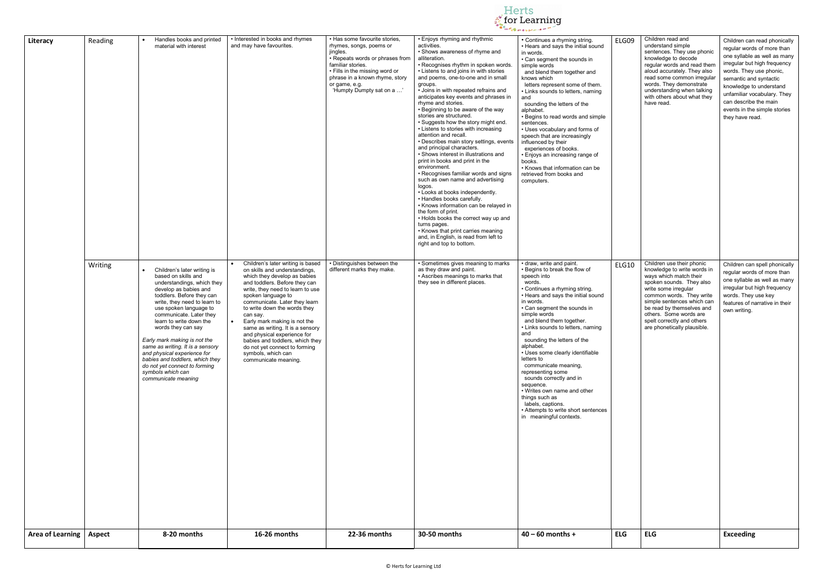

| Literacy         | Reading       | Handles books and printed                                                                                                                                                                                                                                                                                                                                                                                                                                                                       | • Interested in books and rhymes                                                                                                                                                                                                                                                                                                                                                                                                                                                                | • Has some favourite stories,                                                                                                                                                                                 | • Enjoys rhyming and rhythmic                                                                                                                                                                                                                                                                                                                                                                                                                                                                                                                                                                                                                                                                                                                                                                                                                                                                                                                                                                                                                    | • Continues a rhyming string.                                                                                                                                                                                                                                                                                                                                                                                                                                                                                                                                                                                            | ELG09      | Children read and                                                                                                                                                                                                                                                                                                    | Children can                                                                                                                                                   |
|------------------|---------------|-------------------------------------------------------------------------------------------------------------------------------------------------------------------------------------------------------------------------------------------------------------------------------------------------------------------------------------------------------------------------------------------------------------------------------------------------------------------------------------------------|-------------------------------------------------------------------------------------------------------------------------------------------------------------------------------------------------------------------------------------------------------------------------------------------------------------------------------------------------------------------------------------------------------------------------------------------------------------------------------------------------|---------------------------------------------------------------------------------------------------------------------------------------------------------------------------------------------------------------|--------------------------------------------------------------------------------------------------------------------------------------------------------------------------------------------------------------------------------------------------------------------------------------------------------------------------------------------------------------------------------------------------------------------------------------------------------------------------------------------------------------------------------------------------------------------------------------------------------------------------------------------------------------------------------------------------------------------------------------------------------------------------------------------------------------------------------------------------------------------------------------------------------------------------------------------------------------------------------------------------------------------------------------------------|--------------------------------------------------------------------------------------------------------------------------------------------------------------------------------------------------------------------------------------------------------------------------------------------------------------------------------------------------------------------------------------------------------------------------------------------------------------------------------------------------------------------------------------------------------------------------------------------------------------------------|------------|----------------------------------------------------------------------------------------------------------------------------------------------------------------------------------------------------------------------------------------------------------------------------------------------------------------------|----------------------------------------------------------------------------------------------------------------------------------------------------------------|
|                  |               | material with interest                                                                                                                                                                                                                                                                                                                                                                                                                                                                          | and may have favourites.                                                                                                                                                                                                                                                                                                                                                                                                                                                                        | rhymes, songs, poems or<br>jingles.<br>• Repeats words or phrases from<br>familiar stories.<br>• Fills in the missing word or<br>phrase in a known rhyme, story<br>or game, e.g.<br>'Humpty Dumpty sat on a ' | activities.<br>• Shows awareness of rhyme and<br>alliteration.<br>• Recognises rhythm in spoken words.<br>• Listens to and joins in with stories<br>and poems, one-to-one and in small<br>groups.<br>• Joins in with repeated refrains and<br>anticipates key events and phrases in<br>rhyme and stories.<br>• Beginning to be aware of the way<br>stories are structured.<br>• Suggests how the story might end.<br>• Listens to stories with increasing<br>attention and recall.<br>• Describes main story settings, events<br>and principal characters.<br>• Shows interest in illustrations and<br>print in books and print in the<br>environment.<br>• Recognises familiar words and signs<br>such as own name and advertising<br>logos.<br>• Looks at books independently.<br>• Handles books carefully.<br>• Knows information can be relayed in<br>the form of print.<br>. Holds books the correct way up and<br>turns pages.<br>• Knows that print carries meaning<br>and, in English, is read from left to<br>right and top to bottom. | • Hears and says the initial sound<br>in words.<br>• Can segment the sounds in<br>simple words<br>and blend them together and<br>knows which<br>letters represent some of them.<br>• Links sounds to letters, naming<br>and<br>sounding the letters of the<br>alphabet.<br>• Begins to read words and simple<br>sentences.<br>• Uses vocabulary and forms of<br>speech that are increasingly<br>influenced by their<br>experiences of books.<br>• Enjoys an increasing range of<br>books.<br>• Knows that information can be<br>retrieved from books and<br>computers.                                                   |            | understand simple<br>sentences. They use phonic<br>knowledge to decode<br>regular words and read them<br>aloud accurately. They also<br>read some common irregular<br>words. They demonstrate<br>understanding when talking<br>with others about what they<br>have read.                                             | regular word<br>one syllable<br>irregular but<br>words. They<br>semantic and<br>knowledge to<br>unfamiliar vo<br>can describe<br>events in the<br>they have re |
|                  | Writing       | Children's later writing is<br>based on skills and<br>understandings, which they<br>develop as babies and<br>toddlers. Before they can<br>write, they need to learn to<br>use spoken language to<br>communicate. Later they<br>learn to write down the<br>words they can say<br>Early mark making is not the<br>same as writing. It is a sensory<br>and physical experience for<br>babies and toddlers, which they<br>do not yet connect to forming<br>symbols which can<br>communicate meaning | Children's later writing is based<br>on skills and understandings,<br>which they develop as babies<br>and toddlers. Before they can<br>write, they need to learn to use<br>spoken language to<br>communicate. Later they learn<br>to write down the words they<br>can say.<br>Early mark making is not the<br>same as writing. It is a sensory<br>and physical experience for<br>babies and toddlers, which they<br>do not yet connect to forming<br>symbols, which can<br>communicate meaning. | • Distinguishes between the<br>different marks they make.                                                                                                                                                     | • Sometimes gives meaning to marks<br>as they draw and paint.<br>• Ascribes meanings to marks that<br>they see in different places.                                                                                                                                                                                                                                                                                                                                                                                                                                                                                                                                                                                                                                                                                                                                                                                                                                                                                                              | • draw, write and paint.<br>• Begins to break the flow of<br>speech into<br>words.<br>• Continues a rhyming string.<br>• Hears and says the initial sound<br>in words.<br>• Can segment the sounds in<br>simple words<br>and blend them together.<br>• Links sounds to letters, naming<br>and<br>sounding the letters of the<br>alphabet.<br>• Uses some clearly identifiable<br>letters to<br>communicate meaning,<br>representing some<br>sounds correctly and in<br>sequence.<br>• Writes own name and other<br>things such as<br>labels, captions.<br>• Attempts to write short sentences<br>in meaningful contexts. | ELG10      | Children use their phonic<br>knowledge to write words in<br>ways which match their<br>spoken sounds. They also<br>write some irregular<br>common words. They write<br>simple sentences which can<br>be read by themselves and<br>others. Some words are<br>spelt correctly and others<br>are phonetically plausible. | Children can<br>regular word<br>one syllable<br>irregular but<br>words. They<br>features of n<br>own writing.                                                  |
| Area of Learning | <b>Aspect</b> | 8-20 months                                                                                                                                                                                                                                                                                                                                                                                                                                                                                     | 16-26 months                                                                                                                                                                                                                                                                                                                                                                                                                                                                                    | 22-36 months                                                                                                                                                                                                  | 30-50 months                                                                                                                                                                                                                                                                                                                                                                                                                                                                                                                                                                                                                                                                                                                                                                                                                                                                                                                                                                                                                                     | $40 - 60$ months +                                                                                                                                                                                                                                                                                                                                                                                                                                                                                                                                                                                                       | <b>ELG</b> | <b>ELG</b>                                                                                                                                                                                                                                                                                                           | Exceeding                                                                                                                                                      |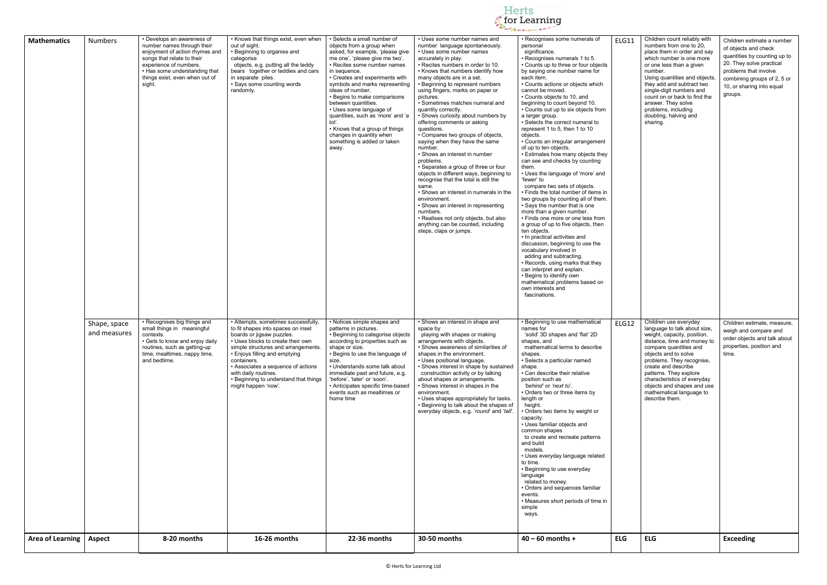| ì   | <b>ELG</b>                                                                                                                                                                                                                                                                          | <b>Exceeding</b>                                                                                                                                                                                               |
|-----|-------------------------------------------------------------------------------------------------------------------------------------------------------------------------------------------------------------------------------------------------------------------------------------|----------------------------------------------------------------------------------------------------------------------------------------------------------------------------------------------------------------|
|     | patterns. They explore<br>characteristics of everyday<br>objects and shapes and use<br>mathematical language to<br>describe them.                                                                                                                                                   |                                                                                                                                                                                                                |
| 512 | Children use everyday<br>language to talk about size,<br>weight, capacity, position,<br>distance, time and money to<br>compare quantities and<br>objects and to solve<br>problems. They recognise,<br>create and describe                                                           | Children estimate, measure,<br>weigh and compare and<br>order objects and talk about<br>properties, position and<br>time.                                                                                      |
|     | answer. They solve<br>problems, including<br>doubling, halving and<br>sharing.                                                                                                                                                                                                      |                                                                                                                                                                                                                |
| 511 | Children count reliably with<br>numbers from one to 20,<br>place them in order and say<br>which number is one more<br>or one less than a given<br>number.<br>Using quantities and objects,<br>they add and subtract two<br>single-digit numbers and<br>count on or back to find the | Children estimate a number<br>of objects and check<br>quantities by counting up to<br>20. They solve practical<br>problems that involve<br>combining groups of 2, 5 or<br>10, or sharing into equal<br>groups. |



| <b>Mathematics</b>      | <b>Numbers</b>               | • Develops an awareness of<br>number names through their<br>enjoyment of action rhymes and<br>songs that relate to their<br>experience of numbers.<br>• Has some understanding that<br>things exist, even when out of<br>sight. | • Knows that things exist, even when<br>out of sight.<br>• Beginning to organise and<br>categorise<br>objects, e.g. putting all the teddy<br>bears together or teddies and cars<br>in separate piles.<br>• Says some counting words<br>randomly.                                                                                                                 | • Selects a small number of<br>objects from a group when<br>asked, for example, 'please give<br>me one', 'please give me two'.<br>• Recites some number names<br>in sequence.<br>• Creates and experiments with<br>symbols and marks representing<br>ideas of number.<br>• Begins to make comparisons<br>between quantities.<br>• Uses some language of<br>quantities, such as 'more' and 'a<br>lot'.<br>• Knows that a group of things<br>changes in quantity when<br>something is added or taken<br>away. | • Uses some number names and<br>number language spontaneously.<br>• Uses some number names<br>accurately in play.<br>• Recites numbers in order to 10.<br>• Knows that numbers identify how<br>many objects are in a set.<br>• Beginning to represent numbers<br>using fingers, marks on paper or<br>pictures.<br>• Sometimes matches numeral and<br>quantity correctly.<br>• Shows curiosity about numbers by<br>offering comments or asking<br>questions.<br>• Compares two groups of objects,<br>saying when they have the same<br>number.<br>• Shows an interest in number<br>problems.<br>• Separates a group of three or four<br>objects in different ways, beginning to<br>recognise that the total is still the<br>same.<br>• Shows an interest in numerals in the<br>environment.<br>• Shows an interest in representing<br>numbers.<br>• Realises not only objects, but also<br>anything can be counted, including<br>steps, claps or jumps. | • Recognises some numerals of<br>personal<br>significance.<br>• Recognises numerals 1 to 5.<br>• Counts up to three or four objects<br>by saying one number name for<br>each item.<br>• Counts actions or objects which<br>cannot be moved.<br>• Counts objects to 10, and<br>beginning to count beyond 10.<br>• Counts out up to six objects from<br>a larger group.<br>• Selects the correct numeral to<br>represent 1 to 5, then 1 to 10<br>objects.<br>• Counts an irregular arrangement<br>of up to ten objects.<br>• Estimates how many objects they<br>can see and checks by counting<br>them.<br>• Uses the language of 'more' and<br>'fewer' to<br>compare two sets of objects.<br>• Finds the total number of items in<br>two groups by counting all of them.<br>• Says the number that is one<br>more than a given number.<br>• Finds one more or one less from<br>a group of up to five objects, then<br>ten objects.<br>• In practical activities and<br>discussion, beginning to use the<br>vocabulary involved in<br>adding and subtracting.<br>• Records, using marks that they<br>can interpret and explain.<br>• Begins to identify own<br>mathematical problems based on<br>own interests and<br>fascinations. | ELG11 | Children count reliably with<br>numbers from one to 20,<br>place them in order and say<br>which number is one more<br>or one less than a given<br>number.<br>Using quantities and objects,<br>they add and subtract two<br>single-digit numbers and<br>count on or back to find the<br>answer. They solve<br>problems, including<br>doubling, halving and<br>sharing. | Children esti<br>of objects an<br>quantities by<br>20. They sol<br>problems tha<br>combining gr<br>10, or sharin<br>groups. |
|-------------------------|------------------------------|---------------------------------------------------------------------------------------------------------------------------------------------------------------------------------------------------------------------------------|------------------------------------------------------------------------------------------------------------------------------------------------------------------------------------------------------------------------------------------------------------------------------------------------------------------------------------------------------------------|-------------------------------------------------------------------------------------------------------------------------------------------------------------------------------------------------------------------------------------------------------------------------------------------------------------------------------------------------------------------------------------------------------------------------------------------------------------------------------------------------------------|--------------------------------------------------------------------------------------------------------------------------------------------------------------------------------------------------------------------------------------------------------------------------------------------------------------------------------------------------------------------------------------------------------------------------------------------------------------------------------------------------------------------------------------------------------------------------------------------------------------------------------------------------------------------------------------------------------------------------------------------------------------------------------------------------------------------------------------------------------------------------------------------------------------------------------------------------------|-----------------------------------------------------------------------------------------------------------------------------------------------------------------------------------------------------------------------------------------------------------------------------------------------------------------------------------------------------------------------------------------------------------------------------------------------------------------------------------------------------------------------------------------------------------------------------------------------------------------------------------------------------------------------------------------------------------------------------------------------------------------------------------------------------------------------------------------------------------------------------------------------------------------------------------------------------------------------------------------------------------------------------------------------------------------------------------------------------------------------------------------------------------------------------------------------------------------------------------|-------|-----------------------------------------------------------------------------------------------------------------------------------------------------------------------------------------------------------------------------------------------------------------------------------------------------------------------------------------------------------------------|-----------------------------------------------------------------------------------------------------------------------------|
|                         | Shape, space<br>and measures | • Recognises big things and<br>small things in meaningful<br>contexts.<br>• Gets to know and enjoy daily<br>routines, such as getting-up<br>time, mealtimes, nappy time,<br>and bedtime.                                        | • Attempts, sometimes successfully,<br>to fit shapes into spaces on inset<br>boards or jigsaw puzzles.<br>• Uses blocks to create their own<br>simple structures and arrangements.<br>• Enjoys filling and emptying<br>containers.<br>• Associates a sequence of actions<br>with daily routines.<br>• Beginning to understand that things<br>might happen 'now'. | • Notices simple shapes and<br>patterns in pictures.<br>• Beginning to categorise objects<br>according to properties such as<br>shape or size.<br>• Begins to use the language of<br>size.<br>• Understands some talk about<br>immediate past and future, e.g.<br>'before'. 'later' or 'soon'.<br>• Anticipates specific time-based<br>events such as mealtimes or<br>home time                                                                                                                             | • Shows an interest in shape and<br>space by<br>playing with shapes or making<br>arrangements with objects.<br>• Shows awareness of similarities of<br>shapes in the environment.<br>• Uses positional language.<br>· Shows interest in shape by sustained<br>construction activity or by talking<br>about shapes or arrangements.<br>• Shows interest in shapes in the<br>environment.<br>• Uses shapes appropriately for tasks.<br>• Beginning to talk about the shapes of<br>everyday objects, e.g. 'round' and 'tall'.                                                                                                                                                                                                                                                                                                                                                                                                                             | • Beginning to use mathematical<br>names for<br>'solid' 3D shapes and 'flat' 2D<br>shapes, and<br>mathematical terms to describe<br>shapes.<br>• Selects a particular named<br>shape.<br>• Can describe their relative<br>position such as<br>'behind' or 'next to'.<br>• Orders two or three items by<br>length or<br>height.<br>• Orders two items by weight or<br>capacity.<br>• Uses familiar obiects and<br>common shapes<br>to create and recreate patterns<br>and build<br>models.<br>• Uses everyday language related<br>to time.<br>• Beginning to use everyday<br>language<br>related to money.<br>• Orders and sequences familiar<br>events.<br>• Measures short periods of time in<br>simple<br>ways.                                                                                                                                                                                                                                                                                                                                                                                                                                                                                                                 | ELG12 | Children use everyday<br>language to talk about size,<br>weight, capacity, position,<br>distance, time and money to<br>compare quantities and<br>objects and to solve<br>problems. They recognise,<br>create and describe<br>patterns. They explore<br>characteristics of everyday<br>objects and shapes and use<br>mathematical language to<br>describe them.        | Children esti<br>weigh and co<br>order objects<br>properties, p<br>time.                                                    |
| <b>Area of Learning</b> | <b>Aspect</b>                | 8-20 months                                                                                                                                                                                                                     | 16-26 months                                                                                                                                                                                                                                                                                                                                                     | 22-36 months                                                                                                                                                                                                                                                                                                                                                                                                                                                                                                | 30-50 months                                                                                                                                                                                                                                                                                                                                                                                                                                                                                                                                                                                                                                                                                                                                                                                                                                                                                                                                           | $40 - 60$ months +                                                                                                                                                                                                                                                                                                                                                                                                                                                                                                                                                                                                                                                                                                                                                                                                                                                                                                                                                                                                                                                                                                                                                                                                                | ELG   | <b>ELG</b>                                                                                                                                                                                                                                                                                                                                                            | Exceeding                                                                                                                   |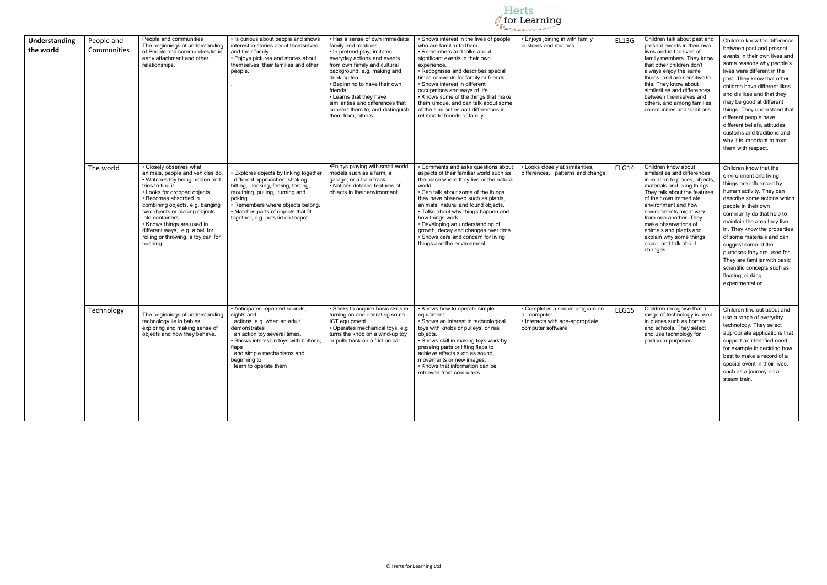

| <b>Understanding</b><br>the world | People and<br>Communities | People and communities<br>The beginnings of understanding<br>of People and communities lie in<br>early attachment and other<br>relationships.                                                                                                                                                                                                                                           | • Is curious about people and shows<br>interest in stories about themselves<br>and their family.<br>• Enjoys pictures and stories about<br>themselves, their families and other<br>people.                                                                                     | • Has a sense of own immediate<br>family and relations.<br>• In pretend play, imitates<br>everyday actions and events<br>from own family and cultural<br>background, e.g. making and<br>drinking tea.<br>• Beginning to have their own<br>friends.<br>• Learns that they have<br>similarities and differences that<br>connect them to, and distinguish<br>them from, others. | • Shows interest in the lives of people<br>who are familiar to them.<br>• Remembers and talks about<br>significant events in their own<br>experience.<br>• Recognises and describes special<br>times or events for family or friends.<br>• Shows interest in different<br>occupations and ways of life.<br>• Knows some of the things that make<br>them unique, and can talk about some<br>of the similarities and differences in<br>relation to friends or family.   | • Enjoys joining in with family<br>customs and routines.                                                | EL <sub>1</sub> |
|-----------------------------------|---------------------------|-----------------------------------------------------------------------------------------------------------------------------------------------------------------------------------------------------------------------------------------------------------------------------------------------------------------------------------------------------------------------------------------|--------------------------------------------------------------------------------------------------------------------------------------------------------------------------------------------------------------------------------------------------------------------------------|------------------------------------------------------------------------------------------------------------------------------------------------------------------------------------------------------------------------------------------------------------------------------------------------------------------------------------------------------------------------------|-----------------------------------------------------------------------------------------------------------------------------------------------------------------------------------------------------------------------------------------------------------------------------------------------------------------------------------------------------------------------------------------------------------------------------------------------------------------------|---------------------------------------------------------------------------------------------------------|-----------------|
|                                   | The world                 | • Closely observes what<br>animals, people and vehicles do.<br>• Watches toy being hidden and<br>tries to find it.<br>• Looks for dropped objects.<br>· Becomes absorbed in<br>combining objects, e.g. banging<br>two objects or placing objects<br>into containers.<br>• Knows things are used in<br>different ways, e.g. a ball for<br>rolling or throwing, a toy car for<br>pushing. | • Explores objects by linking together<br>different approaches: shaking,<br>hitting, looking, feeling, tasting,<br>mouthing, pulling, turning and<br>poking.<br>• Remembers where objects belong.<br>• Matches parts of objects that fit<br>together, e.g. puts lid on teapot. | • Enjoys playing with small-world<br>models such as a farm, a<br>garage, or a train track.<br>• Notices detailed features of<br>objects in their environment                                                                                                                                                                                                                 | • Comments and asks questions about<br>aspects of their familiar world such as<br>the place where they live or the natural<br>world.<br>• Can talk about some of the things<br>they have observed such as plants,<br>animals, natural and found objects.<br>• Talks about why things happen and<br>how things work.<br>• Developing an understanding of<br>growth, decay and changes over time.<br>• Shows care and concern for living<br>things and the environment. | • Looks closely at similarities,<br>differences, patterns and change.                                   | <b>ELC</b>      |
|                                   | Technology                | The beginnings of understanding<br>technology lie in babies<br>exploring and making sense of<br>objects and how they behave.                                                                                                                                                                                                                                                            | • Anticipates repeated sounds,<br>sights and<br>actions, e.g. when an adult<br>demonstrates<br>an action toy several times.<br>• Shows interest in toys with buttons,<br>flaps<br>and simple mechanisms and<br>beginning to<br>learn to operate them                           | • Seeks to acquire basic skills in<br>turning on and operating some<br>ICT equipment.<br>· Operates mechanical toys, e.g.<br>turns the knob on a wind-up toy<br>or pulls back on a friction car.                                                                                                                                                                             | • Knows how to operate simple<br>equipment.<br>• Shows an interest in technological<br>toys with knobs or pulleys, or real<br>objects.<br>• Shows skill in making toys work by<br>pressing parts or lifting flaps to<br>achieve effects such as sound,<br>movements or new images.<br>• Knows that information can be<br>retrieved from computers.                                                                                                                    | • Completes a simple program on<br>a computer.<br>• Interacts with age-appropriate<br>computer software | <b>ELC</b>      |

| <b>EL13G</b> | Children talk about past and<br>present events in their own<br>lives and in the lives of<br>family members. They know<br>that other children don't<br>always enjoy the same<br>things, and are sensitive to<br>this. They know about<br>similarities and differences<br>between themselves and<br>others, and among families,<br>communities and traditions.                   | Children know the difference<br>between past and present<br>events in their own lives and<br>some reasons why people's<br>lives were different in the<br>past. They know that other<br>children have different likes<br>and dislikes and that they<br>may be good at different<br>things. They understand that<br>different people have<br>different beliefs, attitudes,<br>customs and traditions and<br>why it is important to treat<br>them with respect. |
|--------------|--------------------------------------------------------------------------------------------------------------------------------------------------------------------------------------------------------------------------------------------------------------------------------------------------------------------------------------------------------------------------------|--------------------------------------------------------------------------------------------------------------------------------------------------------------------------------------------------------------------------------------------------------------------------------------------------------------------------------------------------------------------------------------------------------------------------------------------------------------|
| ELG14        | Children know about<br>similarities and differences<br>in relation to places, objects,<br>materials and living things.<br>They talk about the features<br>of their own immediate<br>environment and how<br>environments might vary<br>from one another. They<br>make observations of<br>animals and plants and<br>explain why some things<br>occur, and talk about<br>changes. | Children know that the<br>environment and living<br>things are influenced by<br>human activity. They can<br>describe some actions which<br>people in their own<br>community do that help to<br>maintain the area they live<br>in. They know the properties<br>of some materials and can<br>suggest some of the<br>purposes they are used for.<br>They are familiar with basic<br>scientific concepts such as<br>floating, sinking,<br>experimentation.       |
| <b>ELG15</b> | Children recognise that a<br>range of technology is used<br>in places such as homes<br>and schools. They select<br>and use technology for<br>particular purposes.                                                                                                                                                                                                              | Children find out about and<br>use a range of everyday<br>technology. They select<br>appropriate applications that<br>support an identified need -<br>for example in deciding how<br>best to make a record of a<br>special event in their lives,<br>such as a journey on a<br>steam train.                                                                                                                                                                   |